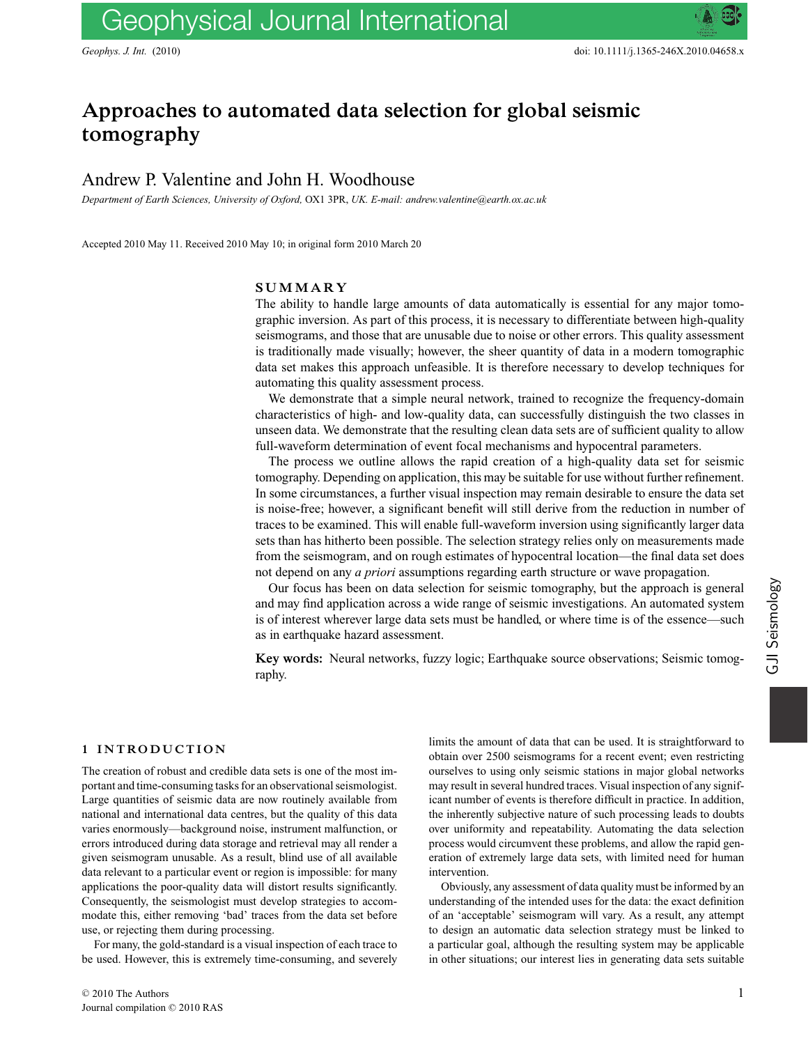

# **Approaches to automated data selection for global seismic tomography**

Andrew P. Valentine and John H. Woodhouse

*Department of Earth Sciences, University of Oxford,* OX1 3PR, *UK. E-mail: andrew.valentine@earth.ox.ac.uk*

Accepted 2010 May 11. Received 2010 May 10; in original form 2010 March 20

# **SUMMARY**

The ability to handle large amounts of data automatically is essential for any major tomographic inversion. As part of this process, it is necessary to differentiate between high-quality seismograms, and those that are unusable due to noise or other errors. This quality assessment is traditionally made visually; however, the sheer quantity of data in a modern tomographic data set makes this approach unfeasible. It is therefore necessary to develop techniques for automating this quality assessment process.

We demonstrate that a simple neural network, trained to recognize the frequency-domain characteristics of high- and low-quality data, can successfully distinguish the two classes in unseen data. We demonstrate that the resulting clean data sets are of sufficient quality to allow full-waveform determination of event focal mechanisms and hypocentral parameters.

The process we outline allows the rapid creation of a high-quality data set for seismic tomography. Depending on application, this may be suitable for use without further refinement. In some circumstances, a further visual inspection may remain desirable to ensure the data set is noise-free; however, a significant benefit will still derive from the reduction in number of traces to be examined. This will enable full-waveform inversion using significantly larger data sets than has hitherto been possible. The selection strategy relies only on measurements made from the seismogram, and on rough estimates of hypocentral location—the final data set does not depend on any *a priori* assumptions regarding earth structure or wave propagation.

Our focus has been on data selection for seismic tomography, but the approach is general and may find application across a wide range of seismic investigations. An automated system is of interest wherever large data sets must be handled, or where time is of the essence—such as in earthquake hazard assessment.

**Key words:** Neural networks, fuzzy logic; Earthquake source observations; Seismic tomography.

#### **1 INTRODUCTION**

The creation of robust and credible data sets is one of the most important and time-consuming tasks for an observational seismologist. Large quantities of seismic data are now routinely available from national and international data centres, but the quality of this data varies enormously—background noise, instrument malfunction, or errors introduced during data storage and retrieval may all render a given seismogram unusable. As a result, blind use of all available data relevant to a particular event or region is impossible: for many applications the poor-quality data will distort results significantly. Consequently, the seismologist must develop strategies to accommodate this, either removing 'bad' traces from the data set before use, or rejecting them during processing.

For many, the gold-standard is a visual inspection of each trace to be used. However, this is extremely time-consuming, and severely

© 2010 The Authors  $\degree$  2010 The Authors 1 Journal compilation © 2010 RAS

limits the amount of data that can be used. It is straightforward to obtain over 2500 seismograms for a recent event; even restricting ourselves to using only seismic stations in major global networks may result in several hundred traces. Visual inspection of any significant number of events is therefore difficult in practice. In addition, the inherently subjective nature of such processing leads to doubts over uniformity and repeatability. Automating the data selection process would circumvent these problems, and allow the rapid generation of extremely large data sets, with limited need for human intervention.

Obviously, any assessment of data quality must be informed by an understanding of the intended uses for the data: the exact definition of an 'acceptable' seismogram will vary. As a result, any attempt to design an automatic data selection strategy must be linked to a particular goal, although the resulting system may be applicable in other situations; our interest lies in generating data sets suitable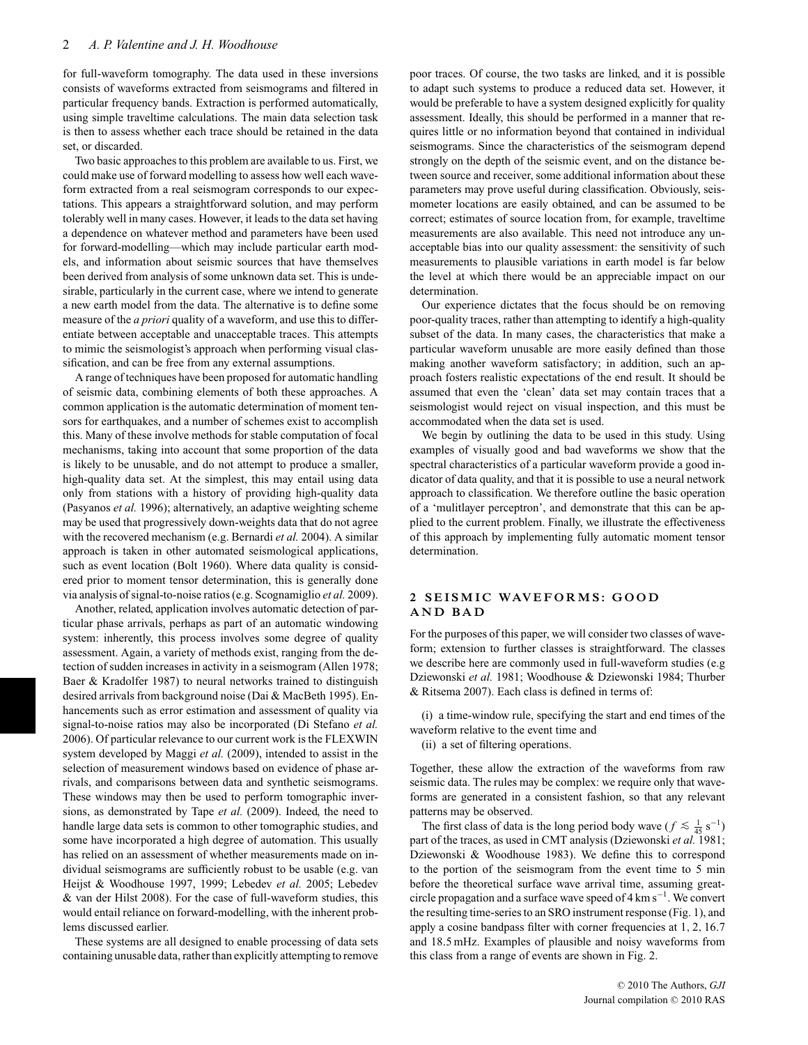for full-waveform tomography. The data used in these inversions consists of waveforms extracted from seismograms and filtered in particular frequency bands. Extraction is performed automatically, using simple traveltime calculations. The main data selection task is then to assess whether each trace should be retained in the data set, or discarded.

Two basic approaches to this problem are available to us. First, we could make use of forward modelling to assess how well each waveform extracted from a real seismogram corresponds to our expectations. This appears a straightforward solution, and may perform tolerably well in many cases. However, it leads to the data set having a dependence on whatever method and parameters have been used for forward-modelling—which may include particular earth models, and information about seismic sources that have themselves been derived from analysis of some unknown data set. This is undesirable, particularly in the current case, where we intend to generate a new earth model from the data. The alternative is to define some measure of the *a priori* quality of a waveform, and use this to differentiate between acceptable and unacceptable traces. This attempts to mimic the seismologist's approach when performing visual classification, and can be free from any external assumptions.

A range of techniques have been proposed for automatic handling of seismic data, combining elements of both these approaches. A common application is the automatic determination of moment tensors for earthquakes, and a number of schemes exist to accomplish this. Many of these involve methods for stable computation of focal mechanisms, taking into account that some proportion of the data is likely to be unusable, and do not attempt to produce a smaller, high-quality data set. At the simplest, this may entail using data only from stations with a history of providing high-quality data (Pasyanos *et al.* 1996); alternatively, an adaptive weighting scheme may be used that progressively down-weights data that do not agree with the recovered mechanism (e.g. Bernardi *et al.* 2004). A similar approach is taken in other automated seismological applications, such as event location (Bolt 1960). Where data quality is considered prior to moment tensor determination, this is generally done via analysis of signal-to-noise ratios (e.g. Scognamiglio *et al.* 2009).

Another, related, application involves automatic detection of particular phase arrivals, perhaps as part of an automatic windowing system: inherently, this process involves some degree of quality assessment. Again, a variety of methods exist, ranging from the detection of sudden increases in activity in a seismogram (Allen 1978; Baer & Kradolfer 1987) to neural networks trained to distinguish desired arrivals from background noise (Dai & MacBeth 1995). Enhancements such as error estimation and assessment of quality via signal-to-noise ratios may also be incorporated (Di Stefano *et al.* 2006). Of particular relevance to our current work is the FLEXWIN system developed by Maggi *et al.* (2009), intended to assist in the selection of measurement windows based on evidence of phase arrivals, and comparisons between data and synthetic seismograms. These windows may then be used to perform tomographic inversions, as demonstrated by Tape *et al.* (2009). Indeed, the need to handle large data sets is common to other tomographic studies, and some have incorporated a high degree of automation. This usually has relied on an assessment of whether measurements made on individual seismograms are sufficiently robust to be usable (e.g. van Heijst & Woodhouse 1997, 1999; Lebedev *et al.* 2005; Lebedev & van der Hilst 2008). For the case of full-waveform studies, this would entail reliance on forward-modelling, with the inherent problems discussed earlier.

These systems are all designed to enable processing of data sets containing unusable data, rather than explicitly attempting to remove poor traces. Of course, the two tasks are linked, and it is possible to adapt such systems to produce a reduced data set. However, it would be preferable to have a system designed explicitly for quality assessment. Ideally, this should be performed in a manner that requires little or no information beyond that contained in individual seismograms. Since the characteristics of the seismogram depend strongly on the depth of the seismic event, and on the distance between source and receiver, some additional information about these parameters may prove useful during classification. Obviously, seismometer locations are easily obtained, and can be assumed to be correct; estimates of source location from, for example, traveltime measurements are also available. This need not introduce any unacceptable bias into our quality assessment: the sensitivity of such measurements to plausible variations in earth model is far below the level at which there would be an appreciable impact on our determination.

Our experience dictates that the focus should be on removing poor-quality traces, rather than attempting to identify a high-quality subset of the data. In many cases, the characteristics that make a particular waveform unusable are more easily defined than those making another waveform satisfactory; in addition, such an approach fosters realistic expectations of the end result. It should be assumed that even the 'clean' data set may contain traces that a seismologist would reject on visual inspection, and this must be accommodated when the data set is used.

We begin by outlining the data to be used in this study. Using examples of visually good and bad waveforms we show that the spectral characteristics of a particular waveform provide a good indicator of data quality, and that it is possible to use a neural network approach to classification. We therefore outline the basic operation of a 'mulitlayer perceptron', and demonstrate that this can be applied to the current problem. Finally, we illustrate the effectiveness of this approach by implementing fully automatic moment tensor determination.

# **2 SEISMIC WAVEFORMS: GOOD AND BAD**

For the purposes of this paper, we will consider two classes of waveform; extension to further classes is straightforward. The classes we describe here are commonly used in full-waveform studies (e.g Dziewonski *et al.* 1981; Woodhouse & Dziewonski 1984; Thurber & Ritsema 2007). Each class is defined in terms of:

(i) a time-window rule, specifying the start and end times of the waveform relative to the event time and

(ii) a set of filtering operations.

Together, these allow the extraction of the waveforms from raw seismic data. The rules may be complex: we require only that waveforms are generated in a consistent fashion, so that any relevant patterns may be observed.

The first class of data is the long period body wave  $(f \leq \frac{1}{45} s^{-1})$ part of the traces, as used in CMT analysis (Dziewonski *et al.* 1981; Dziewonski & Woodhouse 1983). We define this to correspond to the portion of the seismogram from the event time to 5 min before the theoretical surface wave arrival time, assuming greatcircle propagation and a surface wave speed of 4  $\text{km s}^{-1}$ . We convert the resulting time-series to an SRO instrument response (Fig. 1), and apply a cosine bandpass filter with corner frequencies at 1, 2, 16.7 and 18.5 mHz. Examples of plausible and noisy waveforms from this class from a range of events are shown in Fig. 2.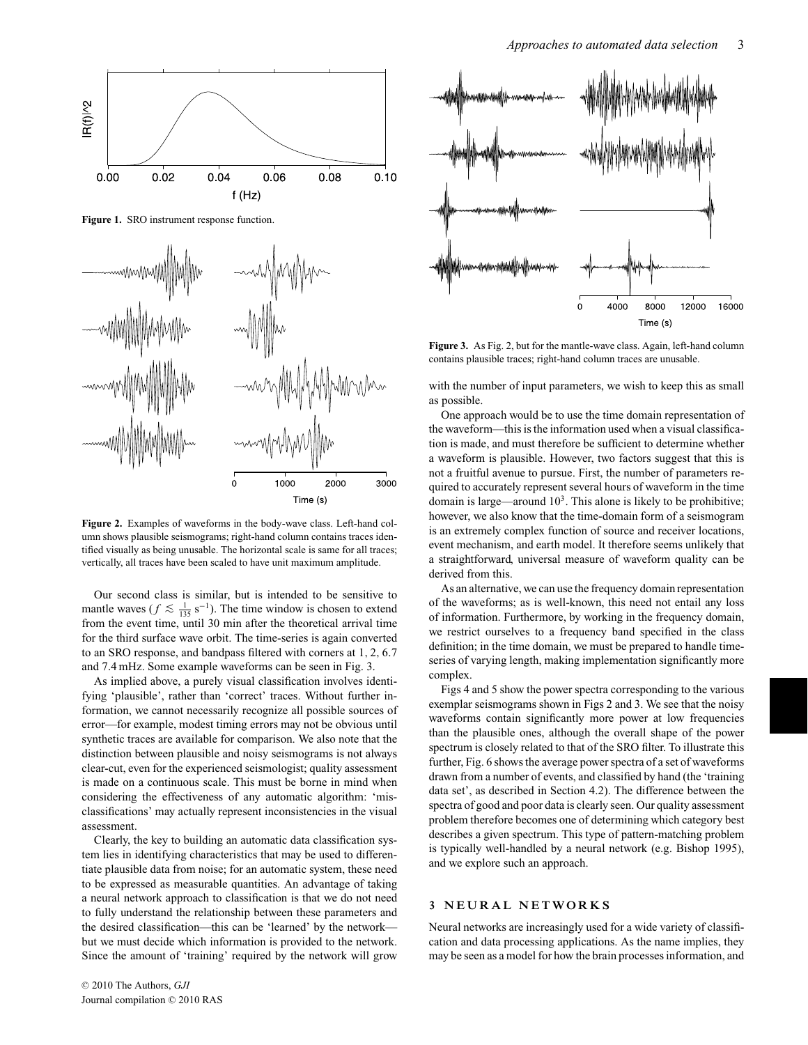

**Figure 1.** SRO instrument response function.



**Figure 2.** Examples of waveforms in the body-wave class. Left-hand column shows plausible seismograms; right-hand column contains traces identified visually as being unusable. The horizontal scale is same for all traces; vertically, all traces have been scaled to have unit maximum amplitude.

Our second class is similar, but is intended to be sensitive to mantle waves ( $f \leq \frac{1}{135}$  s<sup>−1</sup>). The time window is chosen to extend from the event time, until 30 min after the theoretical arrival time for the third surface wave orbit. The time-series is again converted to an SRO response, and bandpass filtered with corners at 1, 2, 6.7 and 7.4 mHz. Some example waveforms can be seen in Fig. 3.

As implied above, a purely visual classification involves identifying 'plausible', rather than 'correct' traces. Without further information, we cannot necessarily recognize all possible sources of error—for example, modest timing errors may not be obvious until synthetic traces are available for comparison. We also note that the distinction between plausible and noisy seismograms is not always clear-cut, even for the experienced seismologist; quality assessment is made on a continuous scale. This must be borne in mind when considering the effectiveness of any automatic algorithm: 'misclassifications' may actually represent inconsistencies in the visual assessment.

Clearly, the key to building an automatic data classification system lies in identifying characteristics that may be used to differentiate plausible data from noise; for an automatic system, these need to be expressed as measurable quantities. An advantage of taking a neural network approach to classification is that we do not need to fully understand the relationship between these parameters and the desired classification—this can be 'learned' by the network but we must decide which information is provided to the network. Since the amount of 'training' required by the network will grow



Figure 3. As Fig. 2, but for the mantle-wave class. Again, left-hand column contains plausible traces; right-hand column traces are unusable.

with the number of input parameters, we wish to keep this as small as possible.

One approach would be to use the time domain representation of the waveform—this is the information used when a visual classification is made, and must therefore be sufficient to determine whether a waveform is plausible. However, two factors suggest that this is not a fruitful avenue to pursue. First, the number of parameters required to accurately represent several hours of waveform in the time domain is large—around  $10<sup>3</sup>$ . This alone is likely to be prohibitive; however, we also know that the time-domain form of a seismogram is an extremely complex function of source and receiver locations, event mechanism, and earth model. It therefore seems unlikely that a straightforward, universal measure of waveform quality can be derived from this.

As an alternative, we can use the frequency domain representation of the waveforms; as is well-known, this need not entail any loss of information. Furthermore, by working in the frequency domain, we restrict ourselves to a frequency band specified in the class definition; in the time domain, we must be prepared to handle timeseries of varying length, making implementation significantly more complex.

Figs 4 and 5 show the power spectra corresponding to the various exemplar seismograms shown in Figs 2 and 3. We see that the noisy waveforms contain significantly more power at low frequencies than the plausible ones, although the overall shape of the power spectrum is closely related to that of the SRO filter. To illustrate this further, Fig. 6 shows the average power spectra of a set of waveforms drawn from a number of events, and classified by hand (the 'training data set', as described in Section 4.2). The difference between the spectra of good and poor data is clearly seen. Our quality assessment problem therefore becomes one of determining which category best describes a given spectrum. This type of pattern-matching problem is typically well-handled by a neural network (e.g. Bishop 1995), and we explore such an approach.

#### **3 NEURAL NETWORKS**

Neural networks are increasingly used for a wide variety of classification and data processing applications. As the name implies, they may be seen as a model for how the brain processes information, and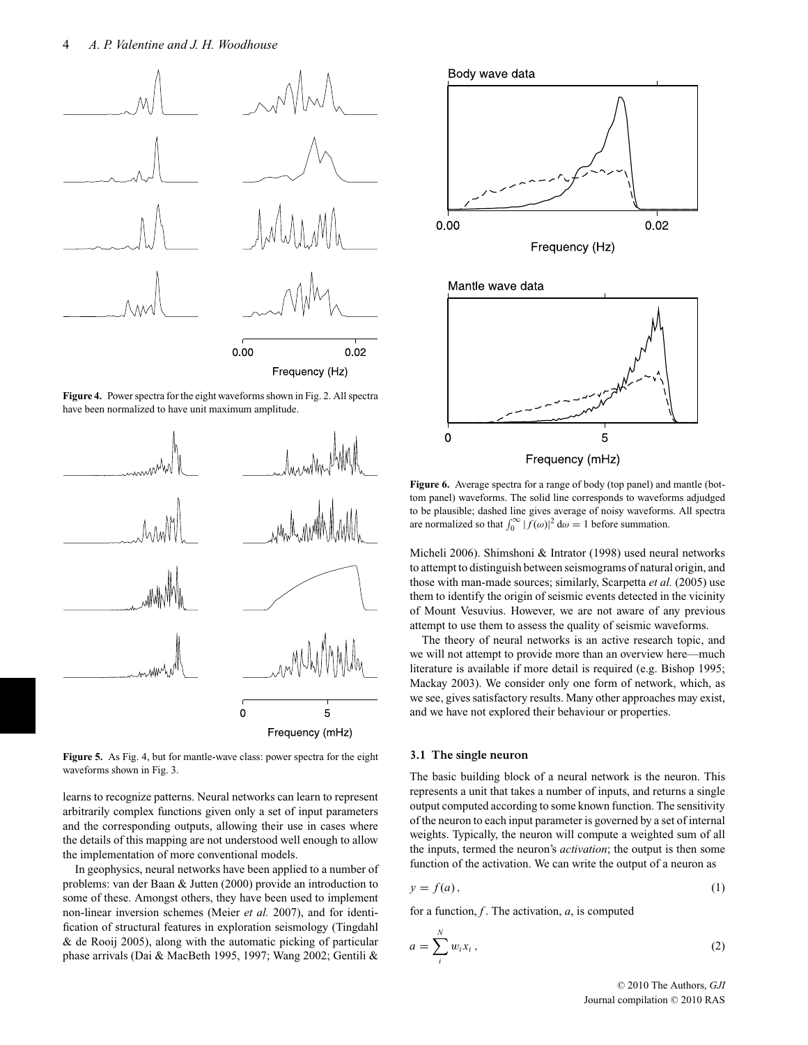

**Figure 4.** Power spectra for the eight waveforms shown in Fig. 2. All spectra have been normalized to have unit maximum amplitude.



**Figure 5.** As Fig. 4, but for mantle-wave class: power spectra for the eight waveforms shown in Fig. 3.

learns to recognize patterns. Neural networks can learn to represent arbitrarily complex functions given only a set of input parameters and the corresponding outputs, allowing their use in cases where the details of this mapping are not understood well enough to allow the implementation of more conventional models.

In geophysics, neural networks have been applied to a number of problems: van der Baan & Jutten (2000) provide an introduction to some of these. Amongst others, they have been used to implement non-linear inversion schemes (Meier *et al.* 2007), and for identification of structural features in exploration seismology (Tingdahl & de Rooij 2005), along with the automatic picking of particular phase arrivals (Dai & MacBeth 1995, 1997; Wang 2002; Gentili &



**Figure 6.** Average spectra for a range of body (top panel) and mantle (bottom panel) waveforms. The solid line corresponds to waveforms adjudged to be plausible; dashed line gives average of noisy waveforms. All spectra are normalized so that  $\int_0^\infty |f(\omega)|^2 d\omega = 1$  before summation.

Micheli 2006). Shimshoni & Intrator (1998) used neural networks to attempt to distinguish between seismograms of natural origin, and those with man-made sources; similarly, Scarpetta *et al.* (2005) use them to identify the origin of seismic events detected in the vicinity of Mount Vesuvius. However, we are not aware of any previous attempt to use them to assess the quality of seismic waveforms.

The theory of neural networks is an active research topic, and we will not attempt to provide more than an overview here—much literature is available if more detail is required (e.g. Bishop 1995; Mackay 2003). We consider only one form of network, which, as we see, gives satisfactory results. Many other approaches may exist, and we have not explored their behaviour or properties.

#### **3.1 The single neuron**

The basic building block of a neural network is the neuron. This represents a unit that takes a number of inputs, and returns a single output computed according to some known function. The sensitivity of the neuron to each input parameter is governed by a set of internal weights. Typically, the neuron will compute a weighted sum of all the inputs, termed the neuron's *activation*; the output is then some function of the activation. We can write the output of a neuron as

$$
y = f(a),\tag{1}
$$

for a function,  $f$ . The activation,  $a$ , is computed

$$
a = \sum_{i}^{N} w_i x_i , \qquad (2)
$$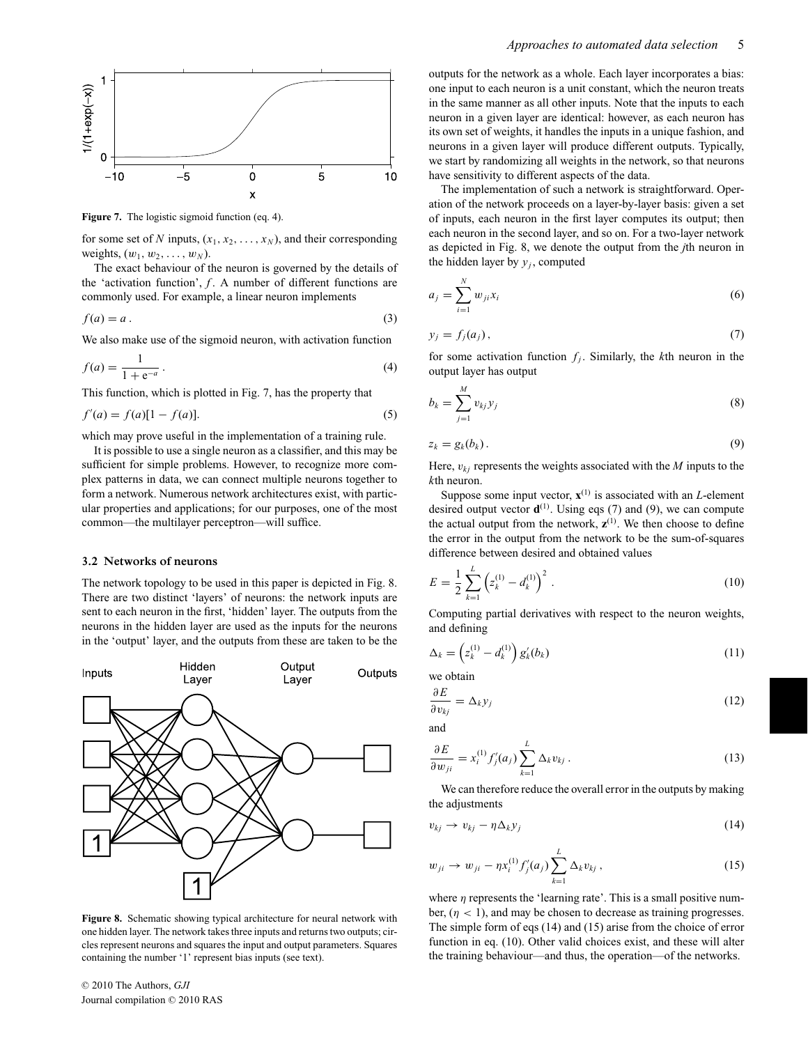

Figure 7. The logistic sigmoid function (eq. 4).

for some set of *N* inputs,  $(x_1, x_2, \ldots, x_N)$ , and their corresponding weights,  $(w_1, w_2, \ldots, w_N)$ .

The exact behaviour of the neuron is governed by the details of the 'activation function', *f*. A number of different functions are commonly used. For example, a linear neuron implements

$$
f(a) = a.
$$
 (3)

We also make use of the sigmoid neuron, with activation function

$$
f(a) = \frac{1}{1 + e^{-a}}.
$$
 (4)

This function, which is plotted in Fig. 7, has the property that

$$
f'(a) = f(a)[1 - f(a)].
$$
\n(5)

which may prove useful in the implementation of a training rule.

It is possible to use a single neuron as a classifier, and this may be sufficient for simple problems. However, to recognize more complex patterns in data, we can connect multiple neurons together to form a network. Numerous network architectures exist, with particular properties and applications; for our purposes, one of the most common—the multilayer perceptron—will suffice.

#### **3.2 Networks of neurons**

The network topology to be used in this paper is depicted in Fig. 8. There are two distinct 'layers' of neurons: the network inputs are sent to each neuron in the first, 'hidden' layer. The outputs from the neurons in the hidden layer are used as the inputs for the neurons in the 'output' layer, and the outputs from these are taken to be the



**Figure 8.** Schematic showing typical architecture for neural network with one hidden layer. The network takes three inputs and returns two outputs; circles represent neurons and squares the input and output parameters. Squares containing the number '1' represent bias inputs (see text).

outputs for the network as a whole. Each layer incorporates a bias: one input to each neuron is a unit constant, which the neuron treats in the same manner as all other inputs. Note that the inputs to each neuron in a given layer are identical: however, as each neuron has its own set of weights, it handles the inputs in a unique fashion, and neurons in a given layer will produce different outputs. Typically, we start by randomizing all weights in the network, so that neurons have sensitivity to different aspects of the data.

The implementation of such a network is straightforward. Operation of the network proceeds on a layer-by-layer basis: given a set of inputs, each neuron in the first layer computes its output; then each neuron in the second layer, and so on. For a two-layer network as depicted in Fig. 8, we denote the output from the *j*th neuron in the hidden layer by  $y_j$ , computed

$$
a_j = \sum_{i=1}^N w_{ji} x_i \tag{6}
$$

$$
y_j = f_j(a_j),\tag{7}
$$

for some activation function  $f_i$ . Similarly, the *k*th neuron in the output layer has output

$$
b_k = \sum_{j=1}^{M} v_{kj} y_j \tag{8}
$$

$$
z_k = g_k(b_k). \tag{9}
$$

Here,  $v_{ki}$  represents the weights associated with the *M* inputs to the *k*th neuron.

Suppose some input vector,  $\mathbf{x}^{(1)}$  is associated with an *L*-element desired output vector  $\mathbf{d}^{(1)}$ . Using eqs (7) and (9), we can compute the actual output from the network,  $z^{(1)}$ . We then choose to define the error in the output from the network to be the sum-of-squares difference between desired and obtained values

$$
E = \frac{1}{2} \sum_{k=1}^{L} \left( z_k^{(1)} - d_k^{(1)} \right)^2.
$$
 (10)

Computing partial derivatives with respect to the neuron weights, and defining

$$
\Delta_k = \left( z_k^{(1)} - d_k^{(1)} \right) g'_k(b_k) \tag{11}
$$

we obtain

$$
\frac{\partial E}{\partial v_{kj}} = \Delta_k y_j \tag{12}
$$

and

$$
\frac{\partial E}{\partial w_{ji}} = x_i^{(1)} f'_j(a_j) \sum_{k=1}^L \Delta_k v_{kj} . \tag{13}
$$

We can therefore reduce the overall error in the outputs by making the adjustments

$$
v_{kj} \to v_{kj} - \eta \Delta_k y_j \tag{14}
$$

$$
w_{ji} \to w_{ji} - \eta x_i^{(1)} f'_j(a_j) \sum_{k=1}^L \Delta_k v_{kj}, \qquad (15)
$$

where  $\eta$  represents the 'learning rate'. This is a small positive number,  $(n < 1)$ , and may be chosen to decrease as training progresses. The simple form of eqs (14) and (15) arise from the choice of error function in eq. (10). Other valid choices exist, and these will alter the training behaviour—and thus, the operation—of the networks.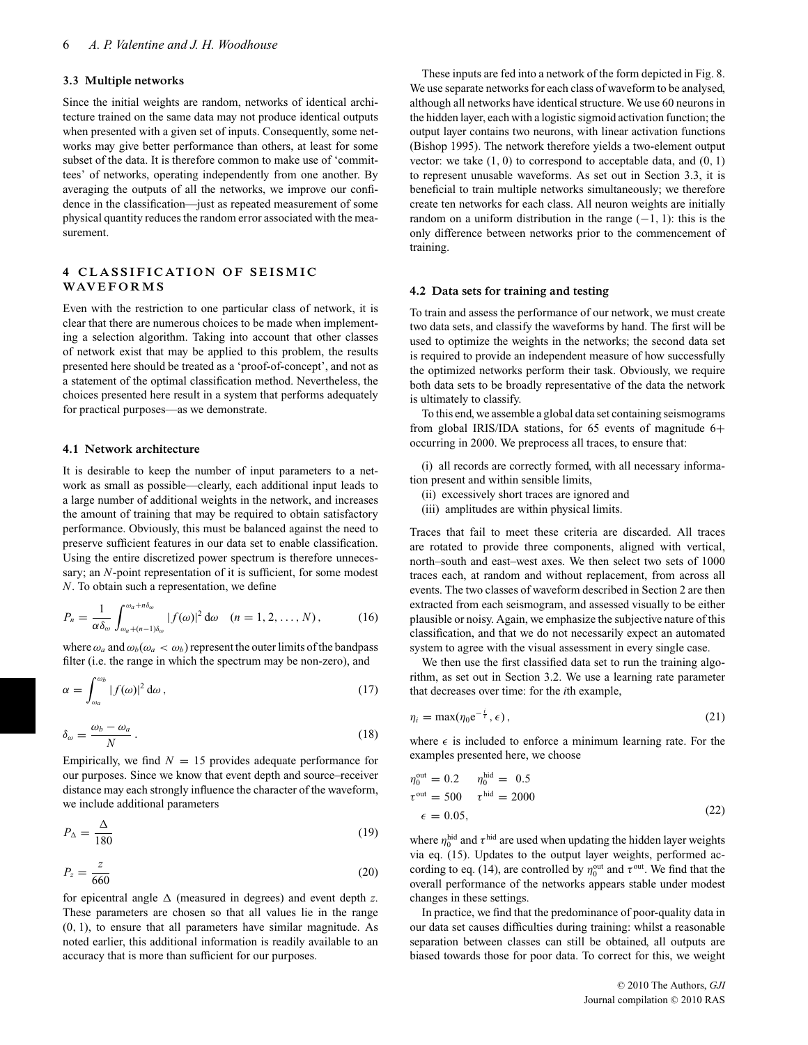#### **3.3 Multiple networks**

Since the initial weights are random, networks of identical architecture trained on the same data may not produce identical outputs when presented with a given set of inputs. Consequently, some networks may give better performance than others, at least for some subset of the data. It is therefore common to make use of 'committees' of networks, operating independently from one another. By averaging the outputs of all the networks, we improve our confidence in the classification—just as repeated measurement of some physical quantity reduces the random error associated with the measurement.

# **4 CLASSIFICATION OF SEISMIC WAV E F O RM S**

Even with the restriction to one particular class of network, it is clear that there are numerous choices to be made when implementing a selection algorithm. Taking into account that other classes of network exist that may be applied to this problem, the results presented here should be treated as a 'proof-of-concept', and not as a statement of the optimal classification method. Nevertheless, the choices presented here result in a system that performs adequately for practical purposes—as we demonstrate.

#### **4.1 Network architecture**

It is desirable to keep the number of input parameters to a network as small as possible—clearly, each additional input leads to a large number of additional weights in the network, and increases the amount of training that may be required to obtain satisfactory performance. Obviously, this must be balanced against the need to preserve sufficient features in our data set to enable classification. Using the entire discretized power spectrum is therefore unnecessary; an *N*-point representation of it is sufficient, for some modest *N*. To obtain such a representation, we define

$$
P_n = \frac{1}{\alpha \delta_\omega} \int_{\omega_a + (n-1)\delta_\omega}^{\omega_a + n\delta_\omega} |f(\omega)|^2 d\omega \quad (n = 1, 2, \dots, N), \tag{16}
$$

where  $\omega_a$  and  $\omega_b(\omega_a < \omega_b)$  represent the outer limits of the bandpass filter (i.e. the range in which the spectrum may be non-zero), and

$$
\alpha = \int_{\omega_a}^{\omega_b} |f(\omega)|^2 d\omega, \qquad (17)
$$

$$
\delta_{\omega} = \frac{\omega_b - \omega_a}{N} \,. \tag{18}
$$

Empirically, we find  $N = 15$  provides adequate performance for our purposes. Since we know that event depth and source–receiver distance may each strongly influence the character of the waveform, we include additional parameters

$$
P_{\Delta} = \frac{\Delta}{180} \tag{19}
$$

$$
P_z = \frac{z}{660} \tag{20}
$$

for epicentral angle  $\Delta$  (measured in degrees) and event depth *z*. These parameters are chosen so that all values lie in the range (0, 1), to ensure that all parameters have similar magnitude. As noted earlier, this additional information is readily available to an accuracy that is more than sufficient for our purposes.

These inputs are fed into a network of the form depicted in Fig. 8. We use separate networks for each class of waveform to be analysed, although all networks have identical structure. We use 60 neurons in the hidden layer, each with a logistic sigmoid activation function; the output layer contains two neurons, with linear activation functions (Bishop 1995). The network therefore yields a two-element output vector: we take  $(1, 0)$  to correspond to acceptable data, and  $(0, 1)$ to represent unusable waveforms. As set out in Section 3.3, it is beneficial to train multiple networks simultaneously; we therefore create ten networks for each class. All neuron weights are initially random on a uniform distribution in the range  $(-1, 1)$ : this is the only difference between networks prior to the commencement of training.

#### **4.2 Data sets for training and testing**

To train and assess the performance of our network, we must create two data sets, and classify the waveforms by hand. The first will be used to optimize the weights in the networks; the second data set is required to provide an independent measure of how successfully the optimized networks perform their task. Obviously, we require both data sets to be broadly representative of the data the network is ultimately to classify.

To this end, we assemble a global data set containing seismograms from global IRIS/IDA stations, for 65 events of magnitude 6+ occurring in 2000. We preprocess all traces, to ensure that:

(i) all records are correctly formed, with all necessary information present and within sensible limits,

- (ii) excessively short traces are ignored and
- (iii) amplitudes are within physical limits.

Traces that fail to meet these criteria are discarded. All traces are rotated to provide three components, aligned with vertical, north–south and east–west axes. We then select two sets of 1000 traces each, at random and without replacement, from across all events. The two classes of waveform described in Section 2 are then extracted from each seismogram, and assessed visually to be either plausible or noisy. Again, we emphasize the subjective nature of this classification, and that we do not necessarily expect an automated system to agree with the visual assessment in every single case.

We then use the first classified data set to run the training algorithm, as set out in Section 3.2. We use a learning rate parameter that decreases over time: for the *i*th example,

$$
\eta_i = \max(\eta_0 e^{-\frac{i}{\tau}}, \epsilon), \qquad (21)
$$

where  $\epsilon$  is included to enforce a minimum learning rate. For the examples presented here, we choose

$$
\begin{aligned}\n\eta_0^{\text{out}} &= 0.2 & \eta_0^{\text{hid}} &= 0.5\\
\tau^{\text{out}} &= 500 & \tau^{\text{hid}} &= 2000\\
\epsilon &= 0.05,\n\end{aligned} \tag{22}
$$

where  $\eta_0^{\text{hid}}$  and  $\tau^{\text{hid}}$  are used when updating the hidden layer weights via eq. (15). Updates to the output layer weights, performed according to eq. (14), are controlled by  $\eta_0^{\text{out}}$  and  $\tau^{\text{out}}$ . We find that the overall performance of the networks appears stable under modest changes in these settings.

In practice, we find that the predominance of poor-quality data in our data set causes difficulties during training: whilst a reasonable separation between classes can still be obtained, all outputs are biased towards those for poor data. To correct for this, we weight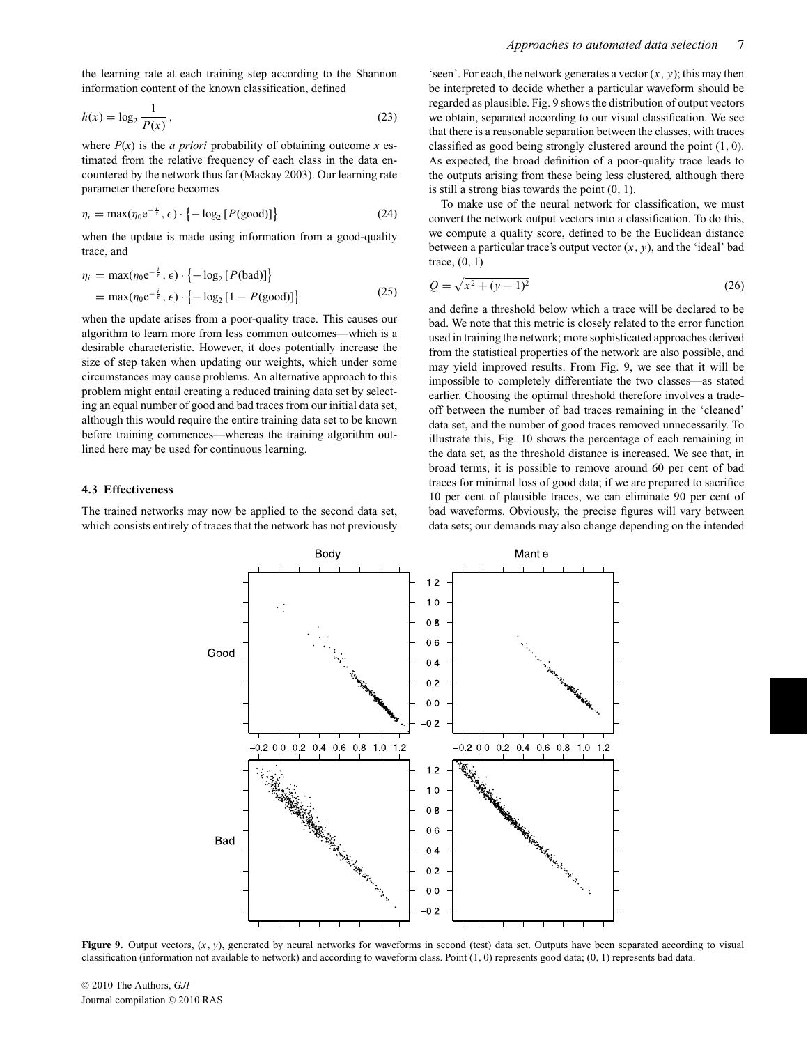the learning rate at each training step according to the Shannon information content of the known classification, defined

$$
h(x) = \log_2 \frac{1}{P(x)},
$$
\n(23)

where  $P(x)$  is the *a priori* probability of obtaining outcome *x* estimated from the relative frequency of each class in the data encountered by the network thus far (Mackay 2003). Our learning rate parameter therefore becomes

$$
\eta_i = \max(\eta_0 e^{-\frac{i}{\tau}}, \epsilon) \cdot \{-\log_2 [P(\text{good})]\}\tag{24}
$$

when the update is made using information from a good-quality trace, and

$$
\eta_i = \max(\eta_0 e^{-\frac{i}{\tau}}, \epsilon) \cdot \{-\log_2 [P(\text{bad})]\}
$$
  
= 
$$
\max(\eta_0 e^{-\frac{i}{\tau}}, \epsilon) \cdot \{-\log_2 [1 - P(\text{good})]\}
$$
 (25)

when the update arises from a poor-quality trace. This causes our algorithm to learn more from less common outcomes—which is a desirable characteristic. However, it does potentially increase the size of step taken when updating our weights, which under some circumstances may cause problems. An alternative approach to this problem might entail creating a reduced training data set by selecting an equal number of good and bad traces from our initial data set, although this would require the entire training data set to be known before training commences—whereas the training algorithm outlined here may be used for continuous learning.

#### **4.3 Effectiveness**

The trained networks may now be applied to the second data set, which consists entirely of traces that the network has not previously

'seen'. For each, the network generates a vector  $(x, y)$ ; this may then be interpreted to decide whether a particular waveform should be regarded as plausible. Fig. 9 shows the distribution of output vectors we obtain, separated according to our visual classification. We see that there is a reasonable separation between the classes, with traces classified as good being strongly clustered around the point (1, 0). As expected, the broad definition of a poor-quality trace leads to the outputs arising from these being less clustered, although there is still a strong bias towards the point (0, 1).

To make use of the neural network for classification, we must convert the network output vectors into a classification. To do this, we compute a quality score, defined to be the Euclidean distance between a particular trace's output vector  $(x, y)$ , and the 'ideal' bad trace,  $(0, 1)$ 

$$
Q = \sqrt{x^2 + (y - 1)^2}
$$
 (26)

and define a threshold below which a trace will be declared to be bad. We note that this metric is closely related to the error function used in training the network; more sophisticated approaches derived from the statistical properties of the network are also possible, and may yield improved results. From Fig. 9, we see that it will be impossible to completely differentiate the two classes—as stated earlier. Choosing the optimal threshold therefore involves a tradeoff between the number of bad traces remaining in the 'cleaned' data set, and the number of good traces removed unnecessarily. To illustrate this, Fig. 10 shows the percentage of each remaining in the data set, as the threshold distance is increased. We see that, in broad terms, it is possible to remove around 60 per cent of bad traces for minimal loss of good data; if we are prepared to sacrifice 10 per cent of plausible traces, we can eliminate 90 per cent of bad waveforms. Obviously, the precise figures will vary between data sets; our demands may also change depending on the intended



**Figure 9.** Output vectors,  $(x, y)$ , generated by neural networks for waveforms in second (test) data set. Outputs have been separated according to visual classification (information not available to network) and according to waveform class. Point (1, 0) represents good data; (0, 1) represents bad data.

© 2010 The Authors, GJI Journal compilation © 2010 RAS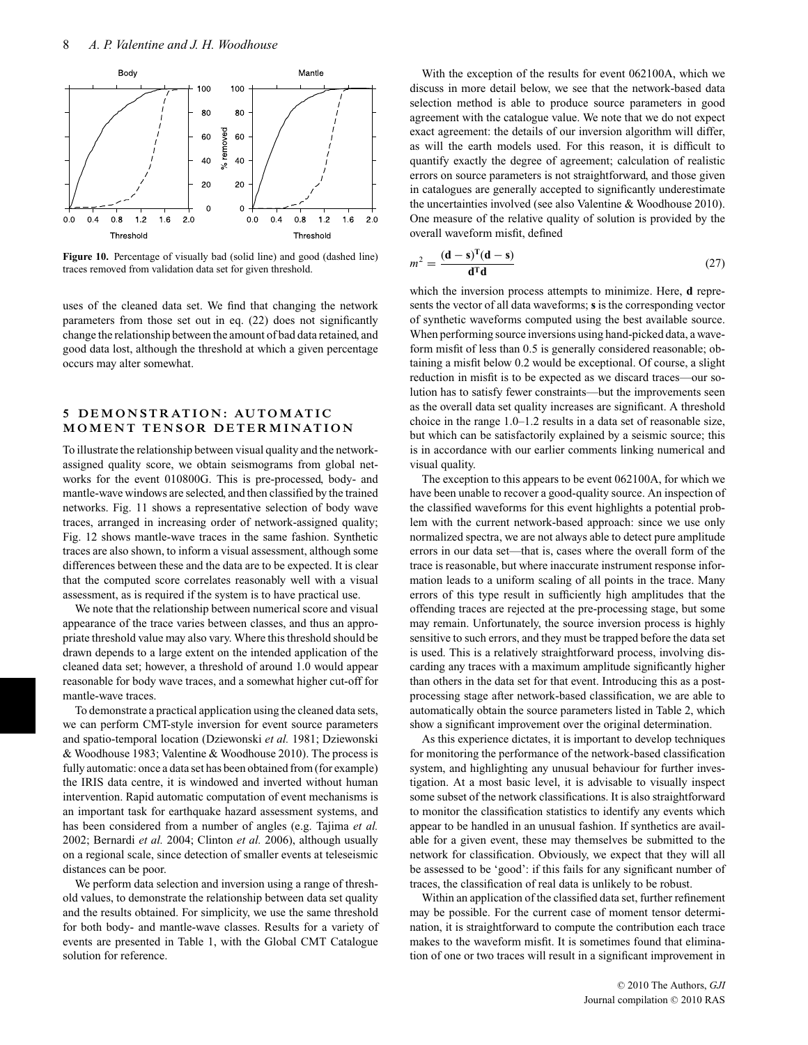

**Figure 10.** Percentage of visually bad (solid line) and good (dashed line) traces removed from validation data set for given threshold.

uses of the cleaned data set. We find that changing the network parameters from those set out in eq. (22) does not significantly change the relationship between the amount of bad data retained, and good data lost, although the threshold at which a given percentage occurs may alter somewhat.

### **5 DEMONSTRATION: AUTOMATIC MOMENT TENSOR DETERMINATION**

To illustrate the relationship between visual quality and the networkassigned quality score, we obtain seismograms from global networks for the event 010800G. This is pre-processed, body- and mantle-wave windows are selected, and then classified by the trained networks. Fig. 11 shows a representative selection of body wave traces, arranged in increasing order of network-assigned quality; Fig. 12 shows mantle-wave traces in the same fashion. Synthetic traces are also shown, to inform a visual assessment, although some differences between these and the data are to be expected. It is clear that the computed score correlates reasonably well with a visual assessment, as is required if the system is to have practical use.

We note that the relationship between numerical score and visual appearance of the trace varies between classes, and thus an appropriate threshold value may also vary. Where this threshold should be drawn depends to a large extent on the intended application of the cleaned data set; however, a threshold of around 1.0 would appear reasonable for body wave traces, and a somewhat higher cut-off for mantle-wave traces.

To demonstrate a practical application using the cleaned data sets, we can perform CMT-style inversion for event source parameters and spatio-temporal location (Dziewonski *et al.* 1981; Dziewonski & Woodhouse 1983; Valentine & Woodhouse 2010). The process is fully automatic: once a data set has been obtained from (for example) the IRIS data centre, it is windowed and inverted without human intervention. Rapid automatic computation of event mechanisms is an important task for earthquake hazard assessment systems, and has been considered from a number of angles (e.g. Tajima *et al.* 2002; Bernardi *et al.* 2004; Clinton *et al.* 2006), although usually on a regional scale, since detection of smaller events at teleseismic distances can be poor.

We perform data selection and inversion using a range of threshold values, to demonstrate the relationship between data set quality and the results obtained. For simplicity, we use the same threshold for both body- and mantle-wave classes. Results for a variety of events are presented in Table 1, with the Global CMT Catalogue solution for reference.

With the exception of the results for event 062100A, which we discuss in more detail below, we see that the network-based data selection method is able to produce source parameters in good agreement with the catalogue value. We note that we do not expect exact agreement: the details of our inversion algorithm will differ, as will the earth models used. For this reason, it is difficult to quantify exactly the degree of agreement; calculation of realistic errors on source parameters is not straightforward, and those given in catalogues are generally accepted to significantly underestimate the uncertainties involved (see also Valentine & Woodhouse 2010). One measure of the relative quality of solution is provided by the overall waveform misfit, defined

$$
m^2 = \frac{(\mathbf{d} - \mathbf{s})^{\mathrm{T}}(\mathbf{d} - \mathbf{s})}{\mathbf{d}^{\mathrm{T}}\mathbf{d}}
$$
 (27)

which the inversion process attempts to minimize. Here, **d** represents the vector of all data waveforms; **s** is the corresponding vector of synthetic waveforms computed using the best available source. When performing source inversions using hand-picked data, a waveform misfit of less than 0.5 is generally considered reasonable; obtaining a misfit below 0.2 would be exceptional. Of course, a slight reduction in misfit is to be expected as we discard traces—our solution has to satisfy fewer constraints—but the improvements seen as the overall data set quality increases are significant. A threshold choice in the range 1.0–1.2 results in a data set of reasonable size, but which can be satisfactorily explained by a seismic source; this is in accordance with our earlier comments linking numerical and visual quality.

The exception to this appears to be event 062100A, for which we have been unable to recover a good-quality source. An inspection of the classified waveforms for this event highlights a potential problem with the current network-based approach: since we use only normalized spectra, we are not always able to detect pure amplitude errors in our data set—that is, cases where the overall form of the trace is reasonable, but where inaccurate instrument response information leads to a uniform scaling of all points in the trace. Many errors of this type result in sufficiently high amplitudes that the offending traces are rejected at the pre-processing stage, but some may remain. Unfortunately, the source inversion process is highly sensitive to such errors, and they must be trapped before the data set is used. This is a relatively straightforward process, involving discarding any traces with a maximum amplitude significantly higher than others in the data set for that event. Introducing this as a postprocessing stage after network-based classification, we are able to automatically obtain the source parameters listed in Table 2, which show a significant improvement over the original determination.

As this experience dictates, it is important to develop techniques for monitoring the performance of the network-based classification system, and highlighting any unusual behaviour for further investigation. At a most basic level, it is advisable to visually inspect some subset of the network classifications. It is also straightforward to monitor the classification statistics to identify any events which appear to be handled in an unusual fashion. If synthetics are available for a given event, these may themselves be submitted to the network for classification. Obviously, we expect that they will all be assessed to be 'good': if this fails for any significant number of traces, the classification of real data is unlikely to be robust.

Within an application of the classified data set, further refinement may be possible. For the current case of moment tensor determination, it is straightforward to compute the contribution each trace makes to the waveform misfit. It is sometimes found that elimination of one or two traces will result in a significant improvement in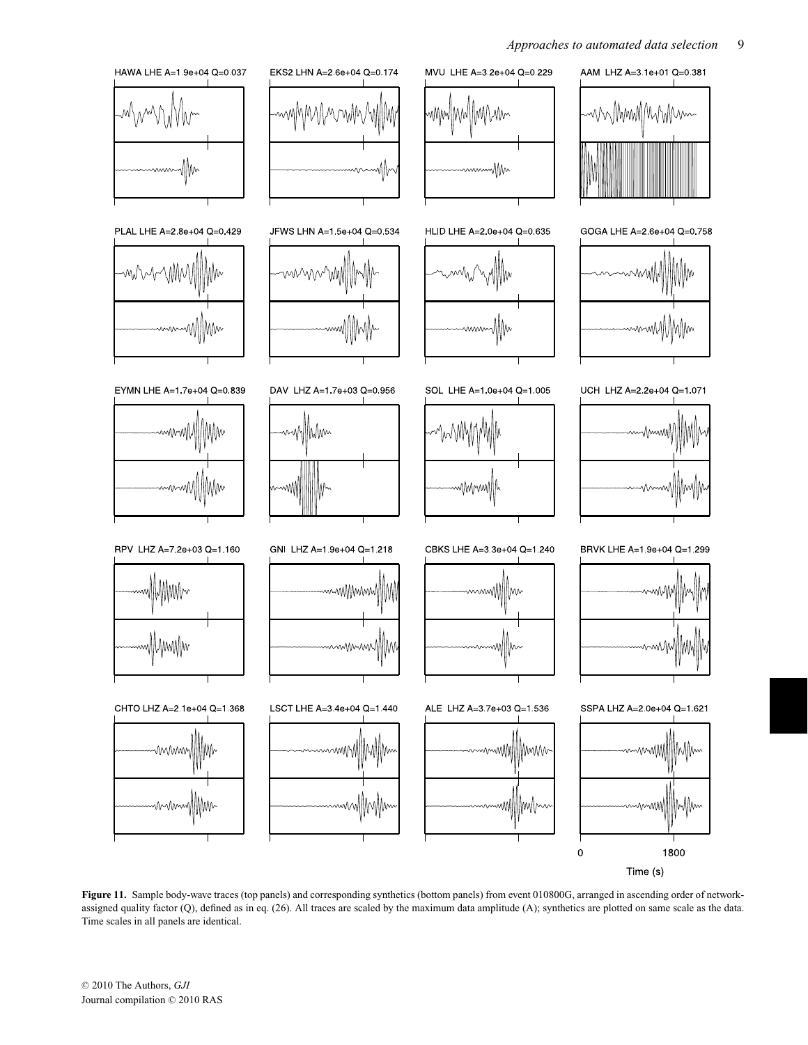MVU LHE A=3 2e+04 Q=0.229

√M∽

HLID LHE A=2.0e+04 Q=0.635

SOL LHE A=1.0e+04 Q=1.005

MMrwm

CBKS LHE A=3.3e+04 Q=1.240

lMM

M∥

ALE LHZ A=3.7e+03 Q=1.536

wwMl

IIMwW

llmllr

hammlMwllhmMunn











BRVK LHE A=1 9e+04 Q=1 299







Time (s)





DAV LHZ A=1 7e+03 Q=0.956

GNI LHZ A=1 9e+04 Q=1.218

wwWww

wwww

LSCT LHE A=3 4e+04 Q=1.440

M

WM.



EKS2 LHN A=2.6e+04 Q=0.174



PLAL LHE A=2.8e+04 Q=0.429

EYMN LHE A=1.7e+04 Q=0.839

RPV LHZ A=7.2e+03 Q=1.160

IMMMV

w||MmMM

CHTO LHZ A=2.1e+04 Q=1.368

MMMM

MW

MM

IllMw∼

₩

lM∿

∭M

∖llM

mbham

HAWA LHE A=1.9e+04 Q=0.037

© 2010 The Authors, GJI Journal compilation © 2010 RAS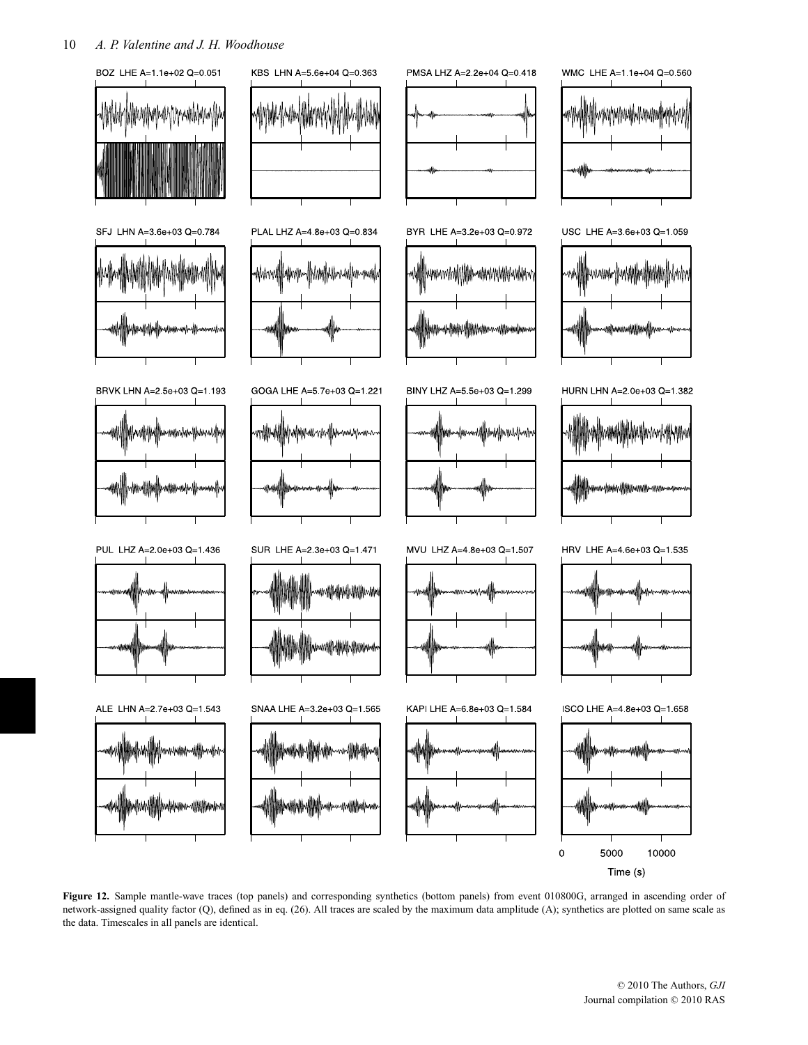# 10 *A. P. Valentine and J. H. Woodhouse*



Figure 12. Sample mantle-wave traces (top panels) and corresponding synthetics (bottom panels) from event 010800G, arranged in ascending order of network-assigned quality factor (Q), defined as in eq. (26). All traces are scaled by the maximum data amplitude (A); synthetics are plotted on same scale as the data. Timescales in all panels are identical.

Time (s)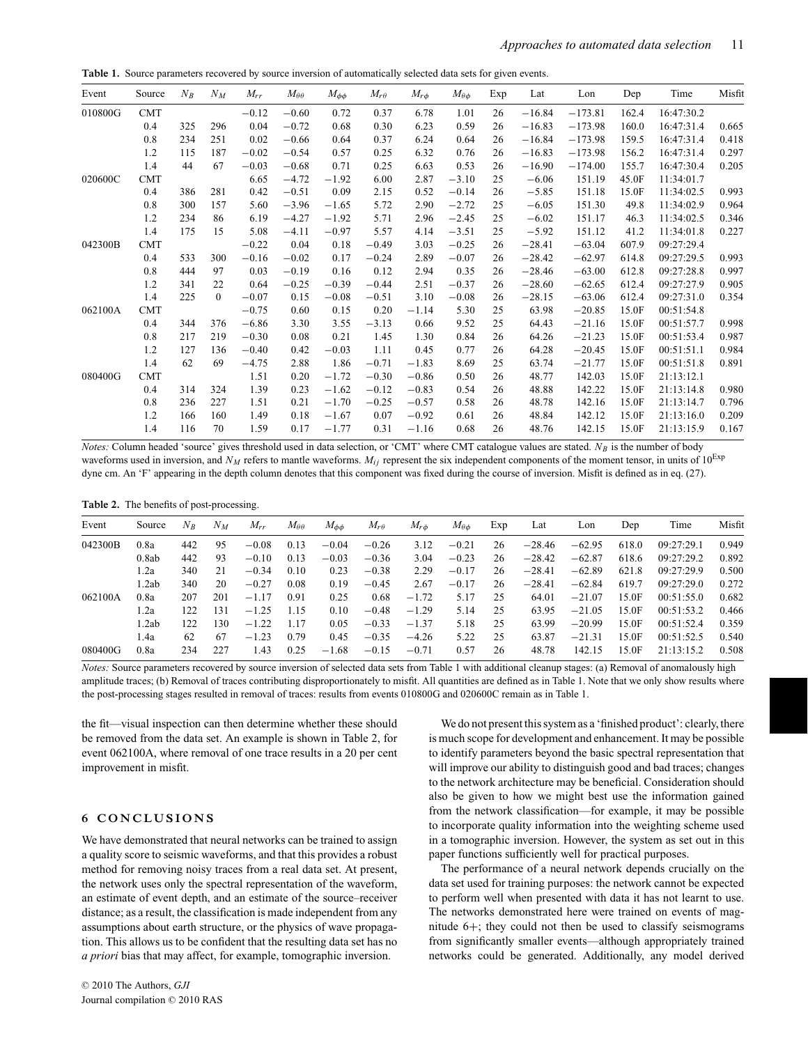**Table 1.** Source parameters recovered by source inversion of automatically selected data sets for given events.

| Event   | Source     | $N_B$ | $N_M$    | $M_{rr}$ | $M_{\theta\theta}$ | $M_{\phi\phi}$ | $M_{r\theta}$ | $M_{r\phi}$ | $M_{\theta\phi}$ | Exp | Lat      | Lon       | Dep   | Time       | Misfit |
|---------|------------|-------|----------|----------|--------------------|----------------|---------------|-------------|------------------|-----|----------|-----------|-------|------------|--------|
| 010800G | <b>CMT</b> |       |          | $-0.12$  | $-0.60$            | 0.72           | 0.37          | 6.78        | 1.01             | 26  | $-16.84$ | $-173.81$ | 162.4 | 16:47:30.2 |        |
|         | 0.4        | 325   | 296      | 0.04     | $-0.72$            | 0.68           | 0.30          | 6.23        | 0.59             | 26  | $-16.83$ | $-173.98$ | 160.0 | 16:47:31.4 | 0.665  |
|         | 0.8        | 234   | 251      | 0.02     | $-0.66$            | 0.64           | 0.37          | 6.24        | 0.64             | 26  | $-16.84$ | $-173.98$ | 159.5 | 16:47:31.4 | 0.418  |
|         | 1.2        | 115   | 187      | $-0.02$  | $-0.54$            | 0.57           | 0.25          | 6.32        | 0.76             | 26  | $-16.83$ | $-173.98$ | 156.2 | 16:47:31.4 | 0.297  |
|         | 1.4        | 44    | 67       | $-0.03$  | $-0.68$            | 0.71           | 0.25          | 6.63        | 0.53             | 26  | $-16.90$ | $-174.00$ | 155.7 | 16:47:30.4 | 0.205  |
| 020600C | <b>CMT</b> |       |          | 6.65     | $-4.72$            | $-1.92$        | 6.00          | 2.87        | $-3.10$          | 25  | $-6.06$  | 151.19    | 45.0F | 11:34:01.7 |        |
|         | 0.4        | 386   | 281      | 0.42     | $-0.51$            | 0.09           | 2.15          | 0.52        | $-0.14$          | 26  | $-5.85$  | 151.18    | 15.0F | 11:34:02.5 | 0.993  |
|         | 0.8        | 300   | 157      | 5.60     | $-3.96$            | $-1.65$        | 5.72          | 2.90        | $-2.72$          | 25  | $-6.05$  | 151.30    | 49.8  | 11:34:02.9 | 0.964  |
|         | 1.2        | 234   | 86       | 6.19     | $-4.27$            | $-1.92$        | 5.71          | 2.96        | $-2.45$          | 25  | $-6.02$  | 151.17    | 46.3  | 11:34:02.5 | 0.346  |
|         | 1.4        | 175   | 15       | 5.08     | $-4.11$            | $-0.97$        | 5.57          | 4.14        | $-3.51$          | 25  | $-5.92$  | 151.12    | 41.2  | 11:34:01.8 | 0.227  |
| 042300B | <b>CMT</b> |       |          | $-0.22$  | 0.04               | 0.18           | $-0.49$       | 3.03        | $-0.25$          | 26  | $-28.41$ | $-63.04$  | 607.9 | 09:27:29.4 |        |
|         | 0.4        | 533   | 300      | $-0.16$  | $-0.02$            | 0.17           | $-0.24$       | 2.89        | $-0.07$          | 26  | $-28.42$ | $-62.97$  | 614.8 | 09:27:29.5 | 0.993  |
|         | 0.8        | 444   | 97       | 0.03     | $-0.19$            | 0.16           | 0.12          | 2.94        | 0.35             | 26  | $-28.46$ | $-63.00$  | 612.8 | 09:27:28.8 | 0.997  |
|         | 1.2        | 341   | 22       | 0.64     | $-0.25$            | $-0.39$        | $-0.44$       | 2.51        | $-0.37$          | 26  | $-28.60$ | $-62.65$  | 612.4 | 09:27:27.9 | 0.905  |
|         | 1.4        | 225   | $\theta$ | $-0.07$  | 0.15               | $-0.08$        | $-0.51$       | 3.10        | $-0.08$          | 26  | $-28.15$ | $-63.06$  | 612.4 | 09:27:31.0 | 0.354  |
| 062100A | <b>CMT</b> |       |          | $-0.75$  | 0.60               | 0.15           | 0.20          | $-1.14$     | 5.30             | 25  | 63.98    | $-20.85$  | 15.0F | 00:51:54.8 |        |
|         | 0.4        | 344   | 376      | $-6.86$  | 3.30               | 3.55           | $-3.13$       | 0.66        | 9.52             | 25  | 64.43    | $-21.16$  | 15.0F | 00:51:57.7 | 0.998  |
|         | 0.8        | 217   | 219      | $-0.30$  | 0.08               | 0.21           | 1.45          | 1.30        | 0.84             | 26  | 64.26    | $-21.23$  | 15.0F | 00:51:53.4 | 0.987  |
|         | 1.2        | 127   | 136      | $-0.40$  | 0.42               | $-0.03$        | 1.11          | 0.45        | 0.77             | 26  | 64.28    | $-20.45$  | 15.0F | 00:51:51.1 | 0.984  |
|         | 1.4        | 62    | 69       | $-4.75$  | 2.88               | 1.86           | $-0.71$       | $-1.83$     | 8.69             | 25  | 63.74    | $-21.77$  | 15.0F | 00:51:51.8 | 0.891  |
| 080400G | <b>CMT</b> |       |          | 1.51     | 0.20               | $-1.72$        | $-0.30$       | $-0.86$     | 0.50             | 26  | 48.77    | 142.03    | 15.0F | 21:13:12.1 |        |
|         | 0.4        | 314   | 324      | 1.39     | 0.23               | $-1.62$        | $-0.12$       | $-0.83$     | 0.54             | 26  | 48.88    | 142.22    | 15.0F | 21:13:14.8 | 0.980  |
|         | 0.8        | 236   | 227      | 1.51     | 0.21               | $-1.70$        | $-0.25$       | $-0.57$     | 0.58             | 26  | 48.78    | 142.16    | 15.0F | 21:13:14.7 | 0.796  |
|         | 1.2        | 166   | 160      | 1.49     | 0.18               | $-1.67$        | 0.07          | $-0.92$     | 0.61             | 26  | 48.84    | 142.12    | 15.0F | 21:13:16.0 | 0.209  |
|         | 1.4        | 116   | 70       | 1.59     | 0.17               | $-1.77$        | 0.31          | $-1.16$     | 0.68             | 26  | 48.76    | 142.15    | 15.0F | 21:13:15.9 | 0.167  |

*Notes:* Column headed 'source' gives threshold used in data selection, or 'CMT' where CMT catalogue values are stated. N<sub>B</sub> is the number of body waveforms used in inversion, and  $N_M$  refers to mantle waveforms.  $M_{ij}$  represent the six independent components of the moment tensor, in units of  $10^{Exp}$ dyne cm. An 'F' appearing in the depth column denotes that this component was fixed during the course of inversion. Misfit is defined as in eq. (27).

**Table 2.** The benefits of post-processing.

| Event   | Source | $N_R$ | $N_M$ | $M_{rr}$ | $M_{\theta\theta}$ | $M_{\phi\phi}$ | $M_{r\theta}$ | $M_{r\phi}$ | $M_{\theta\phi}$ | Exp | Lat      | Lon      | Dep   | Time       | Misfit |
|---------|--------|-------|-------|----------|--------------------|----------------|---------------|-------------|------------------|-----|----------|----------|-------|------------|--------|
| 042300B | 0.8a   | 442   | 95    | $-0.08$  | 0.13               | $-0.04$        | $-0.26$       | 3.12        | $-0.21$          | 26  | $-28.46$ | $-62.95$ | 618.0 | 09:27:29.1 | 0.949  |
|         | 0.8ab  | 442   | 93    | $-0.10$  | 0.13               | $-0.03$        | $-0.36$       | 3.04        | $-0.23$          | 26  | $-28.42$ | $-62.87$ | 618.6 | 09:27:29.2 | 0.892  |
|         | 1.2a   | 340   | 21    | $-0.34$  | 0.10               | 0.23           | $-0.38$       | 2.29        | $-0.17$          | 26  | $-28.41$ | $-62.89$ | 621.8 | 09:27:29.9 | 0.500  |
|         | 1.2ab  | 340   | 20    | $-0.27$  | 0.08               | 0.19           | $-0.45$       | 2.67        | $-0.17$          | 26  | $-28.41$ | $-62.84$ | 619.7 | 09:27:29.0 | 0.272  |
| 062100A | 0.8a   | 207   | 201   | $-1.17$  | 0.91               | 0.25           | 0.68          | $-1.72$     | 5.17             | 25  | 64.01    | $-21.07$ | 15.0F | 00:51:55.0 | 0.682  |
|         | 1.2a   | 122   | 131   | $-1.25$  | 1.15               | 0.10           | $-0.48$       | $-1.29$     | 5.14             | 25  | 63.95    | $-21.05$ | 15.0F | 00:51:53.2 | 0.466  |
|         | 1.2ab  | 122   | 130   | $-1.22$  | 1.17               | 0.05           | $-0.33$       | $-1.37$     | 5.18             | 25  | 63.99    | $-20.99$ | 15.0F | 00:51:52.4 | 0.359  |
|         | 1.4a   | 62    | 67    | $-1.23$  | 0.79               | 0.45           | $-0.35$       | $-4.26$     | 5.22             | 25  | 63.87    | $-21.31$ | 15.0F | 00:51:52.5 | 0.540  |
| 080400G | 0.8a   | 234   | 227   | 1.43     | 0.25               | $-1.68$        | $-0.15$       | $-0.71$     | 0.57             | 26  | 48.78    | 142.15   | 15.0F | 21:13:15.2 | 0.508  |

*Notes:* Source parameters recovered by source inversion of selected data sets from Table 1 with additional cleanup stages: (a) Removal of anomalously high amplitude traces; (b) Removal of traces contributing disproportionately to misfit. All quantities are defined as in Table 1. Note that we only show results where the post-processing stages resulted in removal of traces: results from events 010800G and 020600C remain as in Table 1.

the fit—visual inspection can then determine whether these should be removed from the data set. An example is shown in Table 2, for event 062100A, where removal of one trace results in a 20 per cent improvement in misfit.

# **6 CONCLUSIONS**

We have demonstrated that neural networks can be trained to assign a quality score to seismic waveforms, and that this provides a robust method for removing noisy traces from a real data set. At present, the network uses only the spectral representation of the waveform, an estimate of event depth, and an estimate of the source–receiver distance; as a result, the classification is made independent from any assumptions about earth structure, or the physics of wave propagation. This allows us to be confident that the resulting data set has no *a priori* bias that may affect, for example, tomographic inversion.

We do not present this system as a 'finished product': clearly, there is much scope for development and enhancement. It may be possible to identify parameters beyond the basic spectral representation that will improve our ability to distinguish good and bad traces; changes to the network architecture may be beneficial. Consideration should also be given to how we might best use the information gained from the network classification—for example, it may be possible to incorporate quality information into the weighting scheme used in a tomographic inversion. However, the system as set out in this paper functions sufficiently well for practical purposes.

The performance of a neural network depends crucially on the data set used for training purposes: the network cannot be expected to perform well when presented with data it has not learnt to use. The networks demonstrated here were trained on events of magnitude 6+; they could not then be used to classify seismograms from significantly smaller events—although appropriately trained networks could be generated. Additionally, any model derived